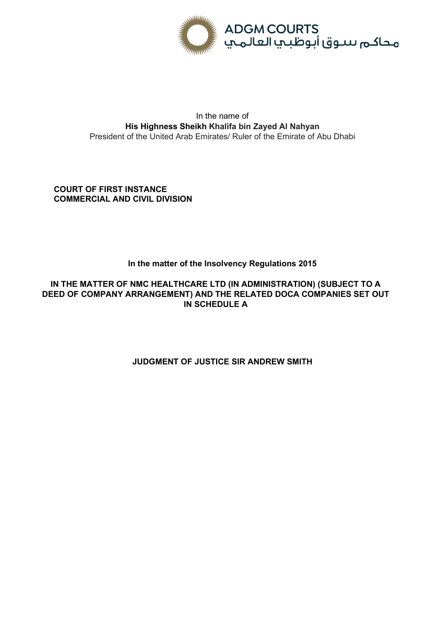

# In the name of **His Highness Sheikh Khalifa bin Zayed Al Nahyan** President of the United Arab Emirates/ Ruler of the Emirate of Abu Dhabi

**COURT OF FIRST INSTANCE COMMERCIAL AND CIVIL DIVISION**

# **In the matter of the Insolvency Regulations 2015**

**IN THE MATTER OF NMC HEALTHCARE LTD (IN ADMINISTRATION) (SUBJECT TO A DEED OF COMPANY ARRANGEMENT) AND THE RELATED DOCA COMPANIES SET OUT IN SCHEDULE A** 

# **JUDGMENT OF JUSTICE SIR ANDREW SMITH**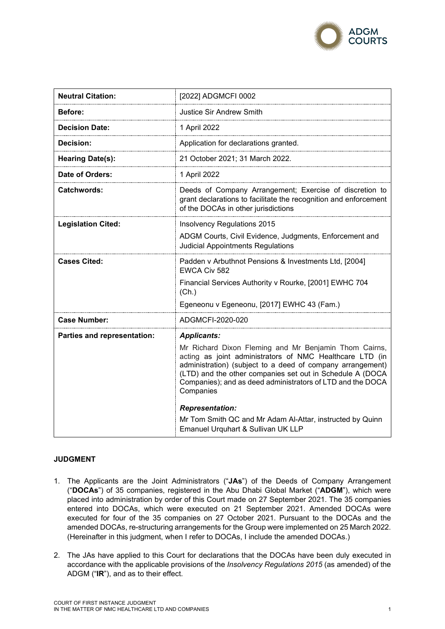

| <b>Neutral Citation:</b>           | [2022] ADGMCFI 0002                                                                                                                                                                                                                                                                                                                                                                                                                                                        |
|------------------------------------|----------------------------------------------------------------------------------------------------------------------------------------------------------------------------------------------------------------------------------------------------------------------------------------------------------------------------------------------------------------------------------------------------------------------------------------------------------------------------|
| Before:                            | <b>Justice Sir Andrew Smith</b>                                                                                                                                                                                                                                                                                                                                                                                                                                            |
| <b>Decision Date:</b>              | 1 April 2022                                                                                                                                                                                                                                                                                                                                                                                                                                                               |
| Decision:                          | Application for declarations granted.                                                                                                                                                                                                                                                                                                                                                                                                                                      |
| <b>Hearing Date(s):</b>            | 21 October 2021; 31 March 2022.                                                                                                                                                                                                                                                                                                                                                                                                                                            |
| Date of Orders:                    | 1 April 2022                                                                                                                                                                                                                                                                                                                                                                                                                                                               |
| <b>Catchwords:</b>                 | Deeds of Company Arrangement; Exercise of discretion to<br>grant declarations to facilitate the recognition and enforcement<br>of the DOCAs in other jurisdictions                                                                                                                                                                                                                                                                                                         |
| <b>Legislation Cited:</b>          | Insolvency Regulations 2015<br>ADGM Courts, Civil Evidence, Judgments, Enforcement and<br><b>Judicial Appointments Regulations</b>                                                                                                                                                                                                                                                                                                                                         |
| <b>Cases Cited:</b>                | Padden v Arbuthnot Pensions & Investments Ltd, [2004]<br>EWCA Civ 582<br>Financial Services Authority v Rourke, [2001] EWHC 704<br>(Ch.)<br>Egeneonu v Egeneonu, [2017] EWHC 43 (Fam.)                                                                                                                                                                                                                                                                                     |
| <b>Case Number:</b>                | ADGMCFI-2020-020                                                                                                                                                                                                                                                                                                                                                                                                                                                           |
| <b>Parties and representation:</b> | <b>Applicants:</b><br>Mr Richard Dixon Fleming and Mr Benjamin Thom Cairns,<br>acting as joint administrators of NMC Healthcare LTD (in<br>administration) (subject to a deed of company arrangement)<br>(LTD) and the other companies set out in Schedule A (DOCA<br>Companies); and as deed administrators of LTD and the DOCA<br>Companies<br><b>Representation:</b><br>Mr Tom Smith QC and Mr Adam Al-Attar, instructed by Quinn<br>Emanuel Urquhart & Sullivan UK LLP |

#### **JUDGMENT**

- 1. The Applicants are the Joint Administrators ("**JAs**") of the Deeds of Company Arrangement ("**DOCAs**") of 35 companies, registered in the Abu Dhabi Global Market ("**ADGM**"), which were placed into administration by order of this Court made on 27 September 2021. The 35 companies entered into DOCAs, which were executed on 21 September 2021. Amended DOCAs were executed for four of the 35 companies on 27 October 2021. Pursuant to the DOCAs and the amended DOCAs, re-structuring arrangements for the Group were implemented on 25 March 2022. (Hereinafter in this judgment, when I refer to DOCAs, I include the amended DOCAs.)
- 2. The JAs have applied to this Court for declarations that the DOCAs have been duly executed in accordance with the applicable provisions of the *Insolvency Regulations 2015* (as amended) of the ADGM ("**IR**"), and as to their effect.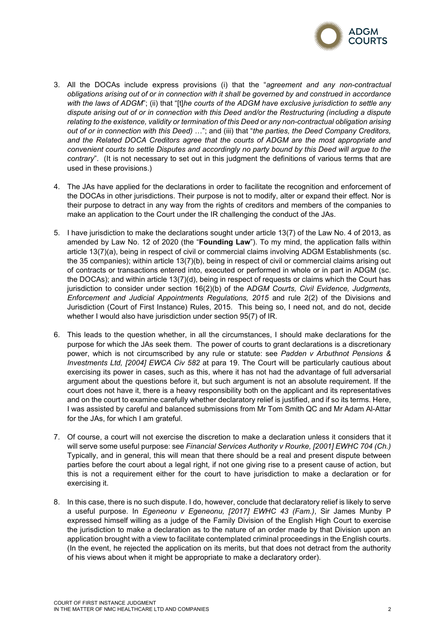

- 3. All the DOCAs include express provisions (i) that the "*agreement and any non-contractual obligations arising out of or in connection with it shall be governed by and construed in accordance with the laws of ADGM*"; (ii) that "[t]*he courts of the ADGM have exclusive jurisdiction to settle any dispute arising out of or in connection with this Deed and/or the Restructuring (including a dispute relating to the existence, validity or termination of this Deed or any non-contractual obligation arising out of or in connection with this Deed)* …"; and (iii) that "*the parties, the Deed Company Creditors, and the Related DOCA Creditors agree that the courts of ADGM are the most appropriate and convenient courts to settle Disputes and accordingly no party bound by this Deed will argue to the contrary*". (It is not necessary to set out in this judgment the definitions of various terms that are used in these provisions.)
- 4. The JAs have applied for the declarations in order to facilitate the recognition and enforcement of the DOCAs in other jurisdictions. Their purpose is not to modify, alter or expand their effect. Nor is their purpose to detract in any way from the rights of creditors and members of the companies to make an application to the Court under the IR challenging the conduct of the JAs.
- 5. I have jurisdiction to make the declarations sought under article 13(7) of the Law No. 4 of 2013, as amended by Law No. 12 of 2020 (the "**Founding Law**"). To my mind, the application falls within article 13(7)(a), being in respect of civil or commercial claims involving ADGM Establishments (sc. the 35 companies); within article 13(7)(b), being in respect of civil or commercial claims arising out of contracts or transactions entered into, executed or performed in whole or in part in ADGM (sc. the DOCAs); and within article 13(7)(d), being in respect of requests or claims which the Court has jurisdiction to consider under section 16(2)(b) of the A*DGM Courts, Civil Evidence, Judgments, Enforcement and Judicial Appointments Regulations, 2015* and rule 2(2) of the Divisions and Jurisdiction (Court of First Instance) Rules, 2015. This being so, I need not, and do not, decide whether I would also have jurisdiction under section 95(7) of IR.
- 6. This leads to the question whether, in all the circumstances, I should make declarations for the purpose for which the JAs seek them. The power of courts to grant declarations is a discretionary power, which is not circumscribed by any rule or statute: see *Padden v Arbuthnot Pensions & Investments Ltd, [2004] EWCA Civ 582* at para 19. The Court will be particularly cautious about exercising its power in cases, such as this, where it has not had the advantage of full adversarial argument about the questions before it, but such argument is not an absolute requirement. If the court does not have it, there is a heavy responsibility both on the applicant and its representatives and on the court to examine carefully whether declaratory relief is justified, and if so its terms. Here, I was assisted by careful and balanced submissions from Mr Tom Smith QC and Mr Adam Al-Attar for the JAs, for which I am grateful.
- 7. Of course, a court will not exercise the discretion to make a declaration unless it considers that it will serve some useful purpose: see *Financial Services Authority v Rourke, [2001] EWHC 704 (Ch.)*  Typically, and in general, this will mean that there should be a real and present dispute between parties before the court about a legal right, if not one giving rise to a present cause of action, but this is not a requirement either for the court to have jurisdiction to make a declaration or for exercising it.
- 8. In this case, there is no such dispute. I do, however, conclude that declaratory relief is likely to serve a useful purpose. In *Egeneonu v Egeneonu, [2017] EWHC 43 (Fam.)*, Sir James Munby P expressed himself willing as a judge of the Family Division of the English High Court to exercise the jurisdiction to make a declaration as to the nature of an order made by that Division upon an application brought with a view to facilitate contemplated criminal proceedings in the English courts. (In the event, he rejected the application on its merits, but that does not detract from the authority of his views about when it might be appropriate to make a declaratory order).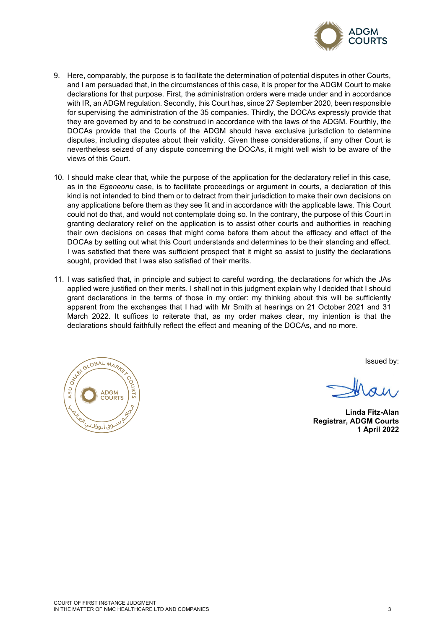

- 9. Here, comparably, the purpose is to facilitate the determination of potential disputes in other Courts, and I am persuaded that, in the circumstances of this case, it is proper for the ADGM Court to make declarations for that purpose. First, the administration orders were made under and in accordance with IR, an ADGM regulation. Secondly, this Court has, since 27 September 2020, been responsible for supervising the administration of the 35 companies. Thirdly, the DOCAs expressly provide that they are governed by and to be construed in accordance with the laws of the ADGM. Fourthly, the DOCAs provide that the Courts of the ADGM should have exclusive jurisdiction to determine disputes, including disputes about their validity. Given these considerations, if any other Court is nevertheless seized of any dispute concerning the DOCAs, it might well wish to be aware of the views of this Court.
- 10. I should make clear that, while the purpose of the application for the declaratory relief in this case, as in the *Egeneonu* case, is to facilitate proceedings or argument in courts, a declaration of this kind is not intended to bind them or to detract from their jurisdiction to make their own decisions on any applications before them as they see fit and in accordance with the applicable laws. This Court could not do that, and would not contemplate doing so. In the contrary, the purpose of this Court in granting declaratory relief on the application is to assist other courts and authorities in reaching their own decisions on cases that might come before them about the efficacy and effect of the DOCAs by setting out what this Court understands and determines to be their standing and effect. I was satisfied that there was sufficient prospect that it might so assist to justify the declarations sought, provided that I was also satisfied of their merits.
- 11. I was satisfied that, in principle and subject to careful wording, the declarations for which the JAs applied were justified on their merits. I shall not in this judgment explain why I decided that I should grant declarations in the terms of those in my order: my thinking about this will be sufficiently apparent from the exchanges that I had with Mr Smith at hearings on 21 October 2021 and 31 March 2022. It suffices to reiterate that, as my order makes clear, my intention is that the declarations should faithfully reflect the effect and meaning of the DOCAs, and no more.



Issued by:

**Linda Fitz-Alan Registrar, ADGM Courts 1 April 2022**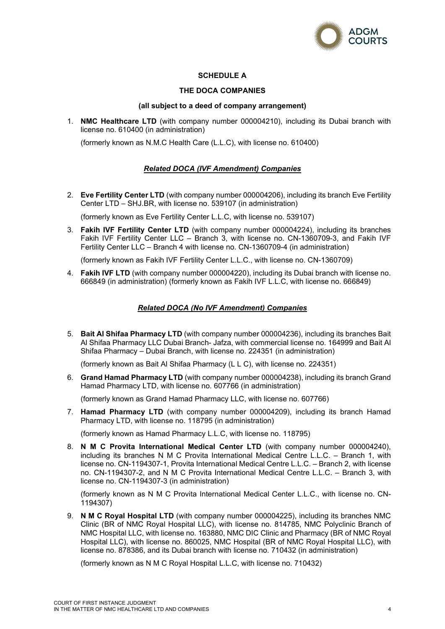

# **SCHEDULE A**

### **THE DOCA COMPANIES**

#### **(all subject to a deed of company arrangement)**

1. **NMC Healthcare LTD** (with company number 000004210), including its Dubai branch with license no. 610400 (in administration)

(formerly known as N.M.C Health Care (L.L.C), with license no. 610400)

# *Related DOCA (IVF Amendment) Companies*

2. **Eve Fertility Center LTD** (with company number 000004206), including its branch Eve Fertility Center LTD – SHJ.BR, with license no. 539107 (in administration)

(formerly known as Eve Fertility Center L.L.C, with license no. 539107)

3. **Fakih IVF Fertility Center LTD** (with company number 000004224), including its branches Fakih IVF Fertility Center LLC – Branch 3, with license no. CN-1360709-3, and Fakih IVF Fertility Center LLC – Branch 4 with license no. CN-1360709-4 (in administration)

(formerly known as Fakih IVF Fertility Center L.L.C., with license no. CN-1360709)

4. **Fakih IVF LTD** (with company number 000004220), including its Dubai branch with license no. 666849 (in administration) (formerly known as Fakih IVF L.L.C, with license no. 666849)

### *Related DOCA (No IVF Amendment) Companies*

5. **Bait Al Shifaa Pharmacy LTD** (with company number 000004236), including its branches Bait Al Shifaa Pharmacy LLC Dubai Branch- Jafza, with commercial license no. 164999 and Bait Al Shifaa Pharmacy – Dubai Branch, with license no. 224351 (in administration)

(formerly known as Bait Al Shifaa Pharmacy (L L C), with license no. 224351)

6. **Grand Hamad Pharmacy LTD** (with company number 000004238), including its branch Grand Hamad Pharmacy LTD, with license no. 607766 (in administration)

(formerly known as Grand Hamad Pharmacy LLC, with license no. 607766)

7. **Hamad Pharmacy LTD** (with company number 000004209), including its branch Hamad Pharmacy LTD, with license no. 118795 (in administration)

(formerly known as Hamad Pharmacy L.L.C, with license no. 118795)

8. **N M C Provita International Medical Center LTD** (with company number 000004240), including its branches N M C Provita International Medical Centre L.L.C. – Branch 1, with license no. CN-1194307-1, Provita International Medical Centre L.L.C. – Branch 2, with license no. CN-1194307-2, and N M C Provita International Medical Centre L.L.C. – Branch 3, with license no. CN-1194307-3 (in administration)

(formerly known as N M C Provita International Medical Center L.L.C., with license no. CN-1194307)

9. **N M C Royal Hospital LTD** (with company number 000004225), including its branches NMC Clinic (BR of NMC Royal Hospital LLC), with license no. 814785, NMC Polyclinic Branch of NMC Hospital LLC, with license no. 163880, NMC DIC Clinic and Pharmacy (BR of NMC Royal Hospital LLC), with license no. 860025, NMC Hospital (BR of NMC Royal Hospital LLC), with license no. 878386, and its Dubai branch with license no. 710432 (in administration)

(formerly known as N M C Royal Hospital L.L.C, with license no. 710432)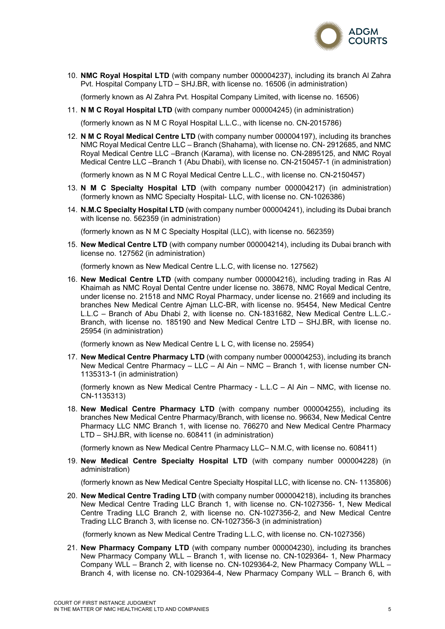

10. **NMC Royal Hospital LTD** (with company number 000004237), including its branch Al Zahra Pvt. Hospital Company LTD – SHJ.BR, with license no. 16506 (in administration)

(formerly known as Al Zahra Pvt. Hospital Company Limited, with license no. 16506)

11. **N M C Royal Hospital LTD** (with company number 000004245) (in administration)

(formerly known as N M C Royal Hospital L.L.C., with license no. CN-2015786)

12. **N M C Royal Medical Centre LTD** (with company number 000004197), including its branches NMC Royal Medical Centre LLC – Branch (Shahama), with license no. CN- 2912685, and NMC Royal Medical Centre LLC –Branch (Karama), with license no. CN-2895125, and NMC Royal Medical Centre LLC –Branch 1 (Abu Dhabi), with license no. CN-2150457-1 (in administration)

(formerly known as N M C Royal Medical Centre L.L.C., with license no. CN-2150457)

- 13. **N M C Specialty Hospital LTD** (with company number 000004217) (in administration) (formerly known as NMC Specialty Hospital- LLC, with license no. CN-1026386)
- 14. **N.M.C Specialty Hospital LTD** (with company number 000004241), including its Dubai branch with license no. 562359 (in administration)

(formerly known as N M C Specialty Hospital (LLC), with license no. 562359)

15. **New Medical Centre LTD** (with company number 000004214), including its Dubai branch with license no. 127562 (in administration)

(formerly known as New Medical Centre L.L.C, with license no. 127562)

16. **New Medical Centre LTD** (with company number 000004216), including trading in Ras Al Khaimah as NMC Royal Dental Centre under license no. 38678, NMC Royal Medical Centre, under license no. 21518 and NMC Royal Pharmacy, under license no. 21669 and including its branches New Medical Centre Ajman LLC-BR, with license no. 95454, New Medical Centre L.L.C – Branch of Abu Dhabi 2, with license no. CN-1831682, New Medical Centre L.L.C.- Branch, with license no. 185190 and New Medical Centre LTD – SHJ.BR, with license no. 25954 (in administration)

(formerly known as New Medical Centre L L C, with license no. 25954)

17. **New Medical Centre Pharmacy LTD** (with company number 000004253), including its branch New Medical Centre Pharmacy – LLC – Al Ain – NMC – Branch 1, with license number CN-1135313-1 (in administration)

(formerly known as New Medical Centre Pharmacy - L.L.C – Al Ain – NMC, with license no. CN-1135313)

18. **New Medical Centre Pharmacy LTD** (with company number 000004255), including its branches New Medical Centre Pharmacy/Branch, with license no. 96634, New Medical Centre Pharmacy LLC NMC Branch 1, with license no. 766270 and New Medical Centre Pharmacy LTD – SHJ.BR, with license no. 608411 (in administration)

(formerly known as New Medical Centre Pharmacy LLC– N.M.C, with license no. 608411)

19. **New Medical Centre Specialty Hospital LTD** (with company number 000004228) (in administration)

(formerly known as New Medical Centre Specialty Hospital LLC, with license no. CN- 1135806)

20. **New Medical Centre Trading LTD** (with company number 000004218), including its branches New Medical Centre Trading LLC Branch 1, with license no. CN-1027356- 1, New Medical Centre Trading LLC Branch 2, with license no. CN-1027356-2, and New Medical Centre Trading LLC Branch 3, with license no. CN-1027356-3 (in administration)

(formerly known as New Medical Centre Trading L.L.C, with license no. CN-1027356)

21. **New Pharmacy Company LTD** (with company number 000004230), including its branches New Pharmacy Company WLL – Branch 1, with license no. CN-1029364- 1, New Pharmacy Company WLL – Branch 2, with license no. CN-1029364-2, New Pharmacy Company WLL – Branch 4, with license no. CN-1029364-4, New Pharmacy Company WLL – Branch 6, with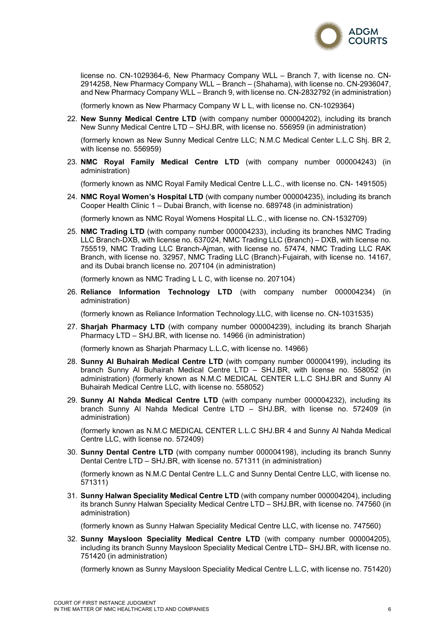

license no. CN-1029364-6, New Pharmacy Company WLL – Branch 7, with license no. CN-2914258, New Pharmacy Company WLL – Branch – (Shahama), with license no. CN-2936047, and New Pharmacy Company WLL – Branch 9, with license no. CN-2832792 (in administration)

(formerly known as New Pharmacy Company W L L, with license no. CN-1029364)

22. **New Sunny Medical Centre LTD** (with company number 000004202), including its branch New Sunny Medical Centre LTD – SHJ.BR, with license no. 556959 (in administration)

(formerly known as New Sunny Medical Centre LLC; N.M.C Medical Center L.L.C Shj. BR 2, with license no. 556959)

23. **NMC Royal Family Medical Centre LTD** (with company number 000004243) (in administration)

(formerly known as NMC Royal Family Medical Centre L.L.C., with license no. CN- 1491505)

24. **NMC Royal Women's Hospital LTD** (with company number 000004235), including its branch Cooper Health Clinic 1 – Dubai Branch, with license no. 689748 (in administration)

(formerly known as NMC Royal Womens Hospital LL.C., with license no. CN-1532709)

25. **NMC Trading LTD** (with company number 000004233), including its branches NMC Trading LLC Branch-DXB, with license no. 637024, NMC Trading LLC (Branch) – DXB, with license no. 755519, NMC Trading LLC Branch-Ajman, with license no. 57474, NMC Trading LLC RAK Branch, with license no. 32957, NMC Trading LLC (Branch)-Fujairah, with license no. 14167, and its Dubai branch license no. 207104 (in administration)

(formerly known as NMC Trading L L C, with license no. 207104)

26. **Reliance Information Technology LTD** (with company number 000004234) (in administration)

(formerly known as Reliance Information Technology.LLC, with license no. CN-1031535)

27. **Sharjah Pharmacy LTD** (with company number 000004239), including its branch Sharjah Pharmacy LTD – SHJ.BR, with license no. 14966 (in administration)

(formerly known as Sharjah Pharmacy L.L.C, with license no. 14966)

- 28. **Sunny Al Buhairah Medical Centre LTD** (with company number 000004199), including its branch Sunny Al Buhairah Medical Centre LTD – SHJ.BR, with license no. 558052 (in administration) (formerly known as N.M.C MEDICAL CENTER L.L.C SHJ.BR and Sunny Al Buhairah Medical Centre LLC, with license no. 558052)
- 29. **Sunny Al Nahda Medical Centre LTD** (with company number 000004232), including its branch Sunny Al Nahda Medical Centre LTD – SHJ.BR, with license no. 572409 (in administration)

(formerly known as N.M.C MEDICAL CENTER L.L.C SHJ.BR 4 and Sunny Al Nahda Medical Centre LLC, with license no. 572409)

30. **Sunny Dental Centre LTD** (with company number 000004198), including its branch Sunny Dental Centre LTD – SHJ.BR, with license no. 571311 (in administration)

(formerly known as N.M.C Dental Centre L.L.C and Sunny Dental Centre LLC, with license no. 571311)

31. **Sunny Halwan Speciality Medical Centre LTD** (with company number 000004204), including its branch Sunny Halwan Speciality Medical Centre LTD – SHJ.BR, with license no. 747560 (in administration)

(formerly known as Sunny Halwan Speciality Medical Centre LLC, with license no. 747560)

32. **Sunny Maysloon Speciality Medical Centre LTD** (with company number 000004205), including its branch Sunny Maysloon Speciality Medical Centre LTD– SHJ.BR, with license no. 751420 (in administration)

(formerly known as Sunny Maysloon Speciality Medical Centre L.L.C, with license no. 751420)